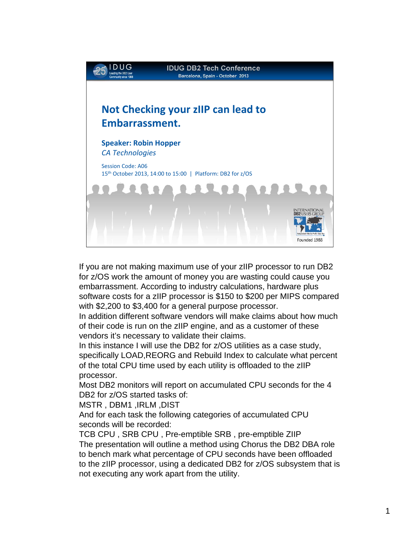

If you are not making maximum use of your zIIP processor to run DB2 for z/OS work the amount of money you are wasting could cause you embarrassment. According to industry calculations, hardware plus software costs for a zIIP processor is \$150 to \$200 per MIPS compared with \$2,200 to \$3,400 for a general purpose processor.

In addition different software vendors will make claims about how much of their code is run on the zIIP engine, and as a customer of these vendors it's necessary to validate their claims.

In this instance I will use the DB2 for z/OS utilities as a case study, specifically LOAD,REORG and Rebuild Index to calculate what percent of the total CPU time used by each utility is offloaded to the zIIP processor.

Most DB2 monitors will report on accumulated CPU seconds for the 4 DB<sub>2</sub> for  $z$ /OS started tasks of:

MSTR , DBM1 ,IRLM ,DIST

And for each task the following categories of accumulated CPU seconds will be recorded:

TCB CPU , SRB CPU , Pre-emptible SRB , pre-emptible ZIIP The presentation will outline a method using Chorus the DB2 DBA role to bench mark what percentage of CPU seconds have been offloaded to the zIIP processor, using a dedicated DB2 for z/OS subsystem that is not executing any work apart from the utility.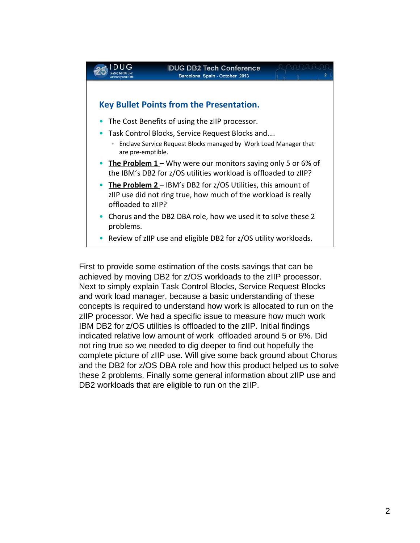

First to provide some estimation of the costs savings that can be achieved by moving DB2 for z/OS workloads to the zIIP processor. Next to simply explain Task Control Blocks, Service Request Blocks and work load manager, because a basic understanding of these concepts is required to understand how work is allocated to run on the zIIP processor. We had a specific issue to measure how much work IBM DB2 for z/OS utilities is offloaded to the zIIP. Initial findings indicated relative low amount of work offloaded around 5 or 6%. Did not ring true so we needed to dig deeper to find out hopefully the complete picture of zIIP use. Will give some back ground about Chorus and the DB2 for z/OS DBA role and how this product helped us to solve these 2 problems. Finally some general information about zIIP use and DB2 workloads that are eligible to run on the zIIP.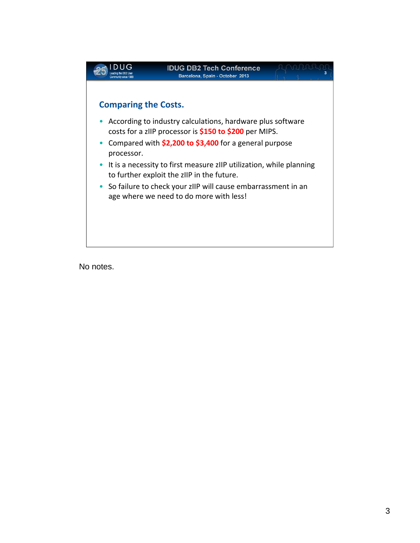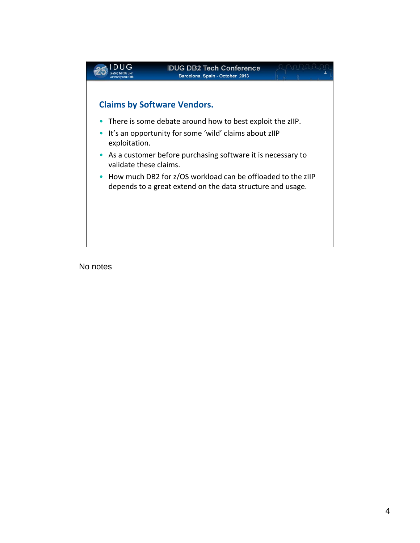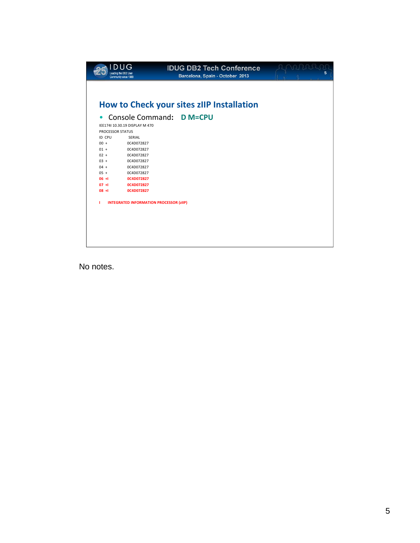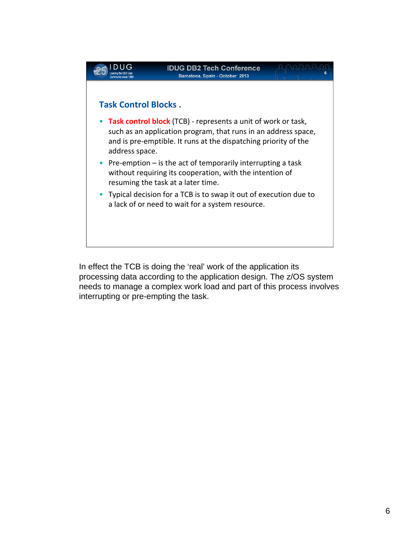

In effect the TCB is doing the 'real' work of the application its processing data according to the application design. The z/OS system needs to manage a complex work load and part of this process involves interrupting or pre-empting the task.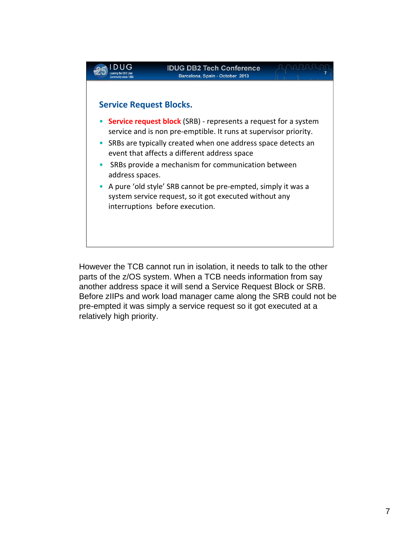

However the TCB cannot run in isolation, it needs to talk to the other parts of the z/OS system. When a TCB needs information from say another address space it will send a Service Request Block or SRB. Before zIIPs and work load manager came along the SRB could not be pre-empted it was simply a service request so it got executed at a relatively high priority.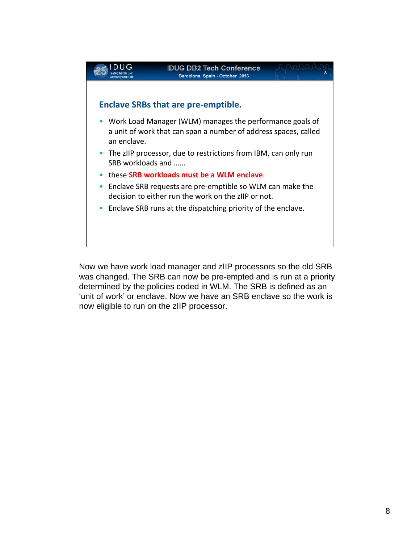

Now we have work load manager and zIIP processors so the old SRB was changed. The SRB can now be pre-empted and is run at a priority determined by the policies coded in WLM. The SRB is defined as an 'unit of work' or enclave. Now we have an SRB enclave so the work is now eligible to run on the zIIP processor.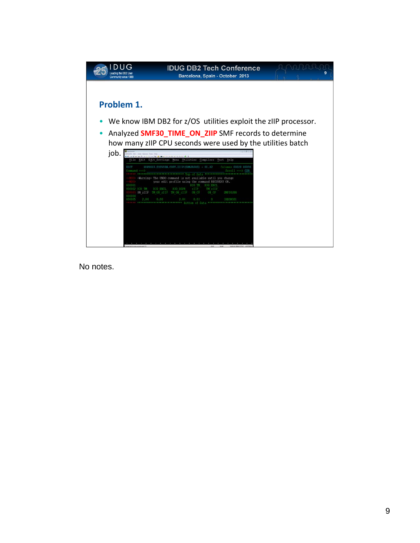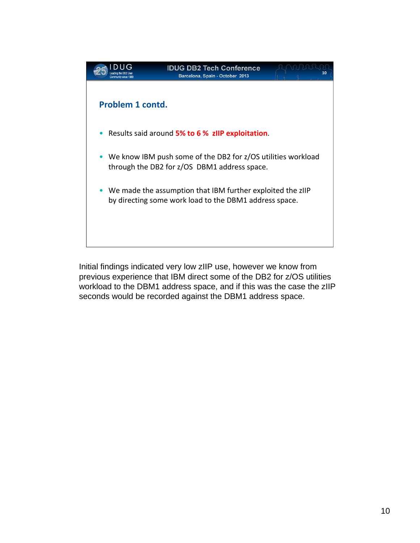

Initial findings indicated very low zIIP use, however we know from previous experience that IBM direct some of the DB2 for z/OS utilities workload to the DBM1 address space, and if this was the case the zIIP seconds would be recorded against the DBM1 address space.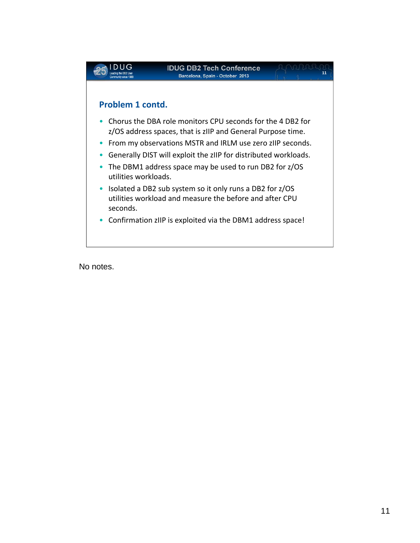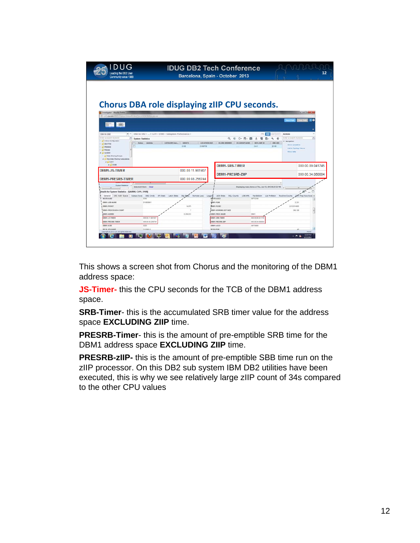| Community since 1988                                                      |                                                                   |                                                     | Barcelona, Spain - October 2013          |                                                        |                                                   |
|---------------------------------------------------------------------------|-------------------------------------------------------------------|-----------------------------------------------------|------------------------------------------|--------------------------------------------------------|---------------------------------------------------|
|                                                                           |                                                                   |                                                     |                                          |                                                        |                                                   |
| <b>N</b> Investigator - Moolla Firefox                                    |                                                                   | <b>Chorus DBA role displaying zIIP CPU seconds.</b> |                                          |                                                        | <b>California</b>                                 |
| To call career (000) Chance them (3) html Gr. 171212300000 pieces         |                                                                   |                                                     |                                          |                                                        |                                                   |
| EL CLEANED                                                                |                                                                   |                                                     |                                          |                                                        |                                                   |
| $\rightarrow$ 11<br>DBA for DB2                                           | DBA for DB2 >  > CA11 > D10B > Subsystem Performance >            |                                                     |                                          |                                                        | Actions                                           |
| Enter a baarch seyword                                                    | <b>System Statistics</b>                                          |                                                     | a                                        | O- Ffi-<br>a<br>٩<br>÷<br>٠                            | Enter a search terrent<br>$\circ$                 |
| <b>C</b> Policies<br>$A \cup B$ 448888<br><b>1 L. Data Sharing Groups</b> |                                                                   |                                                     |                                          |                                                        | Add to Topology Viewer<br><b>Show deta</b>        |
| . C Non-Data Sharing Subsystems<br>$ C1$ $C1$                             |                                                                   |                                                     |                                          |                                                        |                                                   |
| $A \cup D$ 108<br><b>DBM1-JS-TIMER</b>                                    |                                                                   | 000.00.11.981907                                    | <b>DBM1-SRB-TIMER</b>                    |                                                        | 000.00.09.041745                                  |
|                                                                           |                                                                   |                                                     | <b>DBM1-PRESRB-ZIIP</b>                  |                                                        | 000.00.34.080004                                  |
| <b>DBM1-PRESRB-TIMER</b>                                                  |                                                                   | 000.00.08.256744                                    |                                          |                                                        |                                                   |
| System Statistics                                                         | Selected 8 Rent Cear                                              |                                                     |                                          | Draplaying many items at Thu, Jun 13, 2013 05:37:32 PM |                                                   |
| Details for System Statistics - (QA8800, CA11, D1080                      |                                                                   |                                                     |                                          |                                                        |                                                   |
|                                                                           | General DB2 Addr Space Subays Sycs DB2 Cmds IPI State Latch State | <b>Stg Store</b><br><b>Remote Loca Logging</b>      | <b>205 Stats</b><br>50L Counts           | LOB XHL<br><b>Farallellom</b><br>List Prefetch         | Dan Fres Kow Acce<br><b><i>Soutine County</i></b> |
| MITRASS                                                                   | tion                                                              |                                                     | <b>MITRASCE</b>                          | sorratos                                               |                                                   |
| DOME JOB MARE                                                             | D100C641                                                          |                                                     | DOM: FOR                                 |                                                        | 2.321                                             |
| DEMILPOORT                                                                |                                                                   | 14.876                                              | <b>JAMILPOSIC</b>                        |                                                        | 2.012.814809                                      |
| DBM1-PROCESSOR-COUNT<br><b>CASHOON-FRANC</b>                              |                                                                   | 1,358,912                                           | DBM1-WORKING-SET-SIZE<br>DIREL PROC MAM! | DBIF1                                                  | 291.110                                           |
| DOME-JS-TIMER                                                             | 300.00.11.901901                                                  |                                                     | DOMY-SRS-TIMER                           | 000 00.00 04 1745                                      |                                                   |
| DOM: PRESED TAKER                                                         | 000.00.08.256744                                                  |                                                     | DBM1-PRESIDE-ZW                          | 000 01:54 00000                                        |                                                   |
| DEAL+MIL                                                                  | 8205                                                              |                                                     | DIMELASCE                                | <b>SOFTENIE</b>                                        |                                                   |
| <b>BERLYNAME</b><br>might @ 2013 CA. All rights heavened                  | <b>DARMER</b>                                                     |                                                     | <b>JELEL POW</b>                         |                                                        | <b>Richman</b>                                    |

This shows a screen shot from Chorus and the monitoring of the DBM1 address space:

**JS-Timer-** this the CPU seconds for the TCB of the DBM1 address space.

**SRB-Timer**- this is the accumulated SRB timer value for the address space **EXCLUDING ZIIP** time.

**PRESRB-Timer**- this is the amount of pre-emptible SRB time for the DBM1 address space **EXCLUDING ZIIP** time.

**PRESRB-zIIP-** this is the amount of pre-emptible SBB time run on the zIIP processor. On this DB2 sub system IBM DB2 utilities have been executed, this is why we see relatively large zIIP count of 34s compared to the other CPU values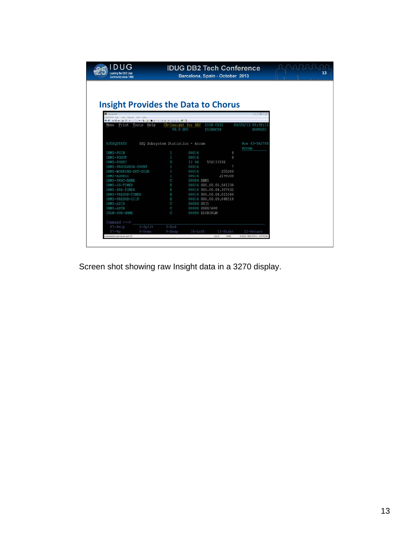| <b>DUG</b><br>Leading the DB2 User<br>Community since 1988                                        | <b>IDUG DB2 Tech Conference</b><br>Barcelona, Spain - October 2013 |                                  |            |                        |          |                              |  |
|---------------------------------------------------------------------------------------------------|--------------------------------------------------------------------|----------------------------------|------------|------------------------|----------|------------------------------|--|
|                                                                                                   |                                                                    |                                  |            |                        |          |                              |  |
|                                                                                                   |                                                                    |                                  |            |                        |          |                              |  |
|                                                                                                   |                                                                    |                                  |            |                        |          |                              |  |
| <b>Insight Provides the Data to Chorus</b>                                                        |                                                                    |                                  |            |                        |          |                              |  |
|                                                                                                   |                                                                    |                                  |            |                        |          |                              |  |
|                                                                                                   |                                                                    |                                  |            |                        |          | <b>D</b> D                   |  |
| View Options Tools (Help<br>● 解决 (地球   米安奇) →   米   西   東   米   奈   安   安   安   安   安   安   安   安 |                                                                    |                                  |            |                        |          |                              |  |
| Print Tools Help<br>Menu                                                                          |                                                                    | CA-Insight for DB2               |            | D10B CA11              |          | 09/09/13<br>08:38:11         |  |
|                                                                                                   |                                                                    | 99.9 SPO                         |            | D10BDC88               |          | HOPRO03                      |  |
|                                                                                                   |                                                                    |                                  |            |                        |          |                              |  |
|                                                                                                   |                                                                    |                                  |            |                        |          |                              |  |
| R/DSOSTATS                                                                                        |                                                                    | DSQ Subsystem Statistics - Accum |            |                        |          | Row 43-56/788                |  |
|                                                                                                   |                                                                    |                                  |            |                        |          | Accum                        |  |
| DBM1-PGIN                                                                                         |                                                                    | I                                | 00016      |                        | $\Omega$ |                              |  |
| DBM1-PGOUT                                                                                        |                                                                    | I                                | 00016      |                        | $\theta$ |                              |  |
| DBM1-PGSEC                                                                                        |                                                                    | Ð                                | 12 06      | 556113126              |          |                              |  |
| DBM1-PROCESSOR-COUNT                                                                              |                                                                    | I                                | 00016      |                        | 7        |                              |  |
| DBM1-WORKING-SET-SIZE                                                                             |                                                                    | I                                | 00016      | 255280                 |          |                              |  |
| DBM1-ADDRIO                                                                                       |                                                                    | I                                | 00016      | 2199308                |          |                              |  |
| DBM1-PROC-NAME                                                                                    |                                                                    | Ċ                                | 00004 DBM1 |                        |          |                              |  |
| DBM1-JS-TIMER                                                                                     |                                                                    | Ε                                |            | 00016 000.00.05.561238 |          |                              |  |
| DBM1-SRB-TIMER                                                                                    |                                                                    | E                                |            | 00016 000.00.04.397032 |          |                              |  |
| DBM1-PRESRB-TIMER                                                                                 |                                                                    | E                                |            | 00016 000.00.04.015160 |          |                              |  |
| DBM1-PRESRB-ZIIP                                                                                  |                                                                    | Ε                                |            | 00016 000.00.09.848518 |          |                              |  |
| DBM1-ASID                                                                                         |                                                                    | C                                | 00004 0031 |                        |          |                              |  |
| DBM1-ASCB                                                                                         |                                                                    | C                                |            | 00008 00FA7600         |          |                              |  |
| IRLM-JOB-NAME                                                                                     |                                                                    | Ċ                                |            | 00008 D10BIRLM         |          |                              |  |
| Command ===>                                                                                      |                                                                    |                                  |            |                        |          |                              |  |
| F1=Help                                                                                           | 2=Split                                                            | $3 =$ End                        |            |                        |          |                              |  |
| $F7 = Up$                                                                                         | $8 =$ Down                                                         | $9 = Swap$                       | $10$ =Left | 11=Right               |          | 12=Return                    |  |
| onnected to tpicca.com port 23                                                                    |                                                                    |                                  |            | 22/15<br>NUM           |          | 143821 IBM-3278-2 - A55T6108 |  |
|                                                                                                   |                                                                    |                                  |            |                        |          |                              |  |

Screen shot showing raw Insight data in a 3270 display.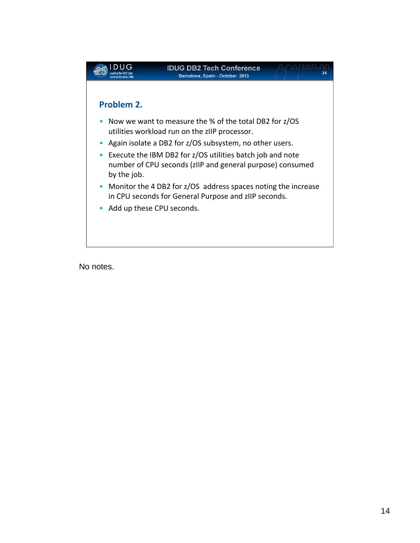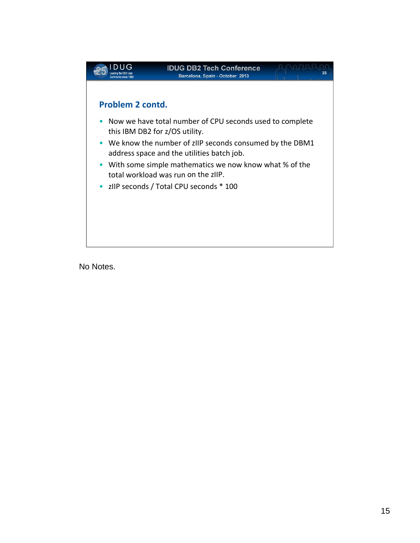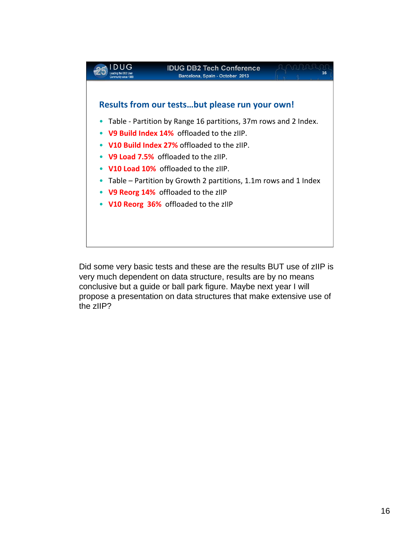

Did some very basic tests and these are the results BUT use of zIIP is very much dependent on data structure, results are by no means conclusive but a guide or ball park figure. Maybe next year I will propose a presentation on data structures that make extensive use of the zIIP?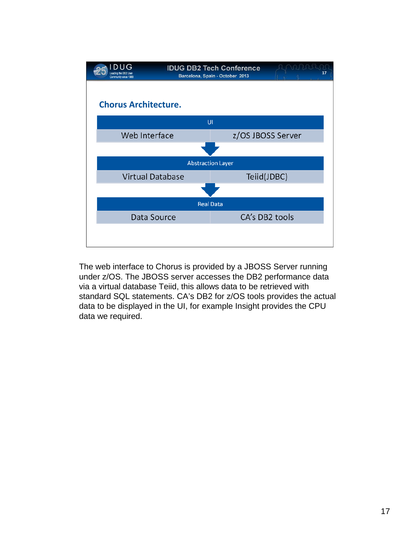

The web interface to Chorus is provided by a JBOSS Server running under z/OS. The JBOSS server accesses the DB2 performance data via a virtual database Teiid, this allows data to be retrieved with standard SQL statements. CA's DB2 for z/OS tools provides the actual data to be displayed in the UI, for example Insight provides the CPU data we required.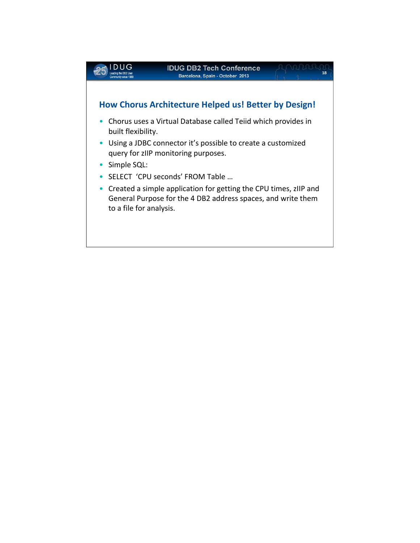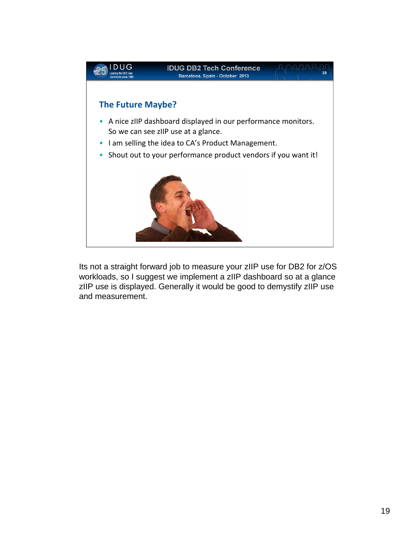

Its not a straight forward job to measure your zIIP use for DB2 for z/OS workloads, so I suggest we implement a zIIP dashboard so at a glance zIIP use is displayed. Generally it would be good to demystify zIIP use and measurement.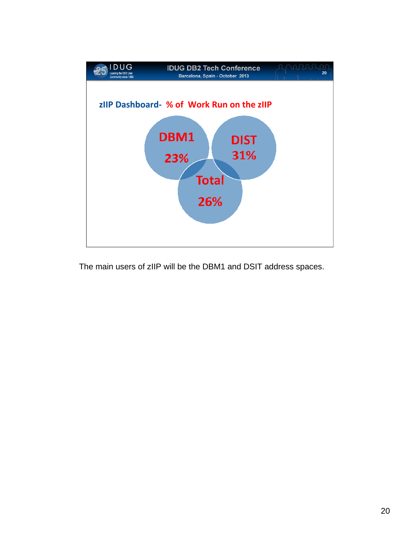

The main users of zIIP will be the DBM1 and DSIT address spaces.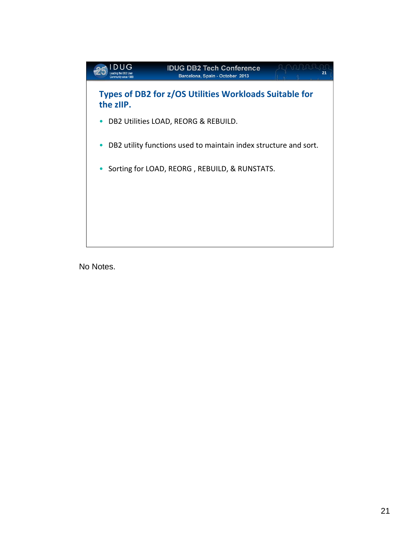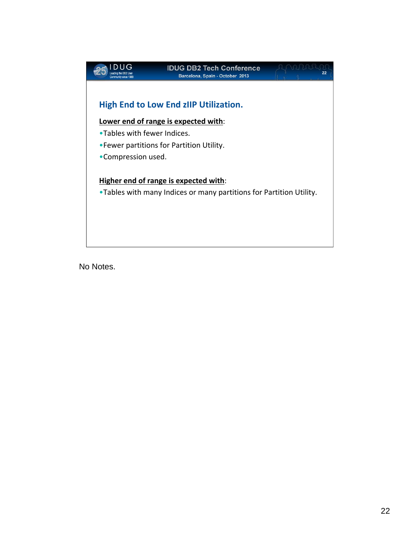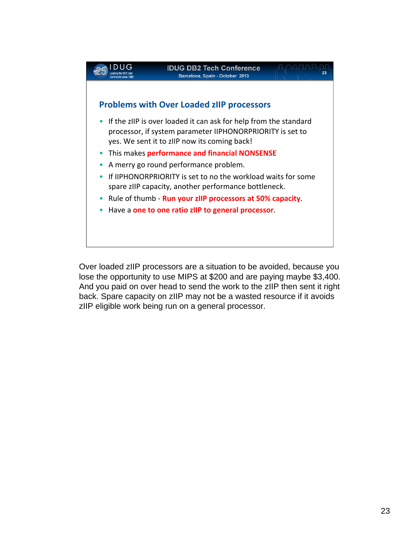

Over loaded zIIP processors are a situation to be avoided, because you lose the opportunity to use MIPS at \$200 and are paying maybe \$3,400. And you paid on over head to send the work to the zIIP then sent it right back. Spare capacity on zIIP may not be a wasted resource if it avoids zIIP eligible work being run on a general processor.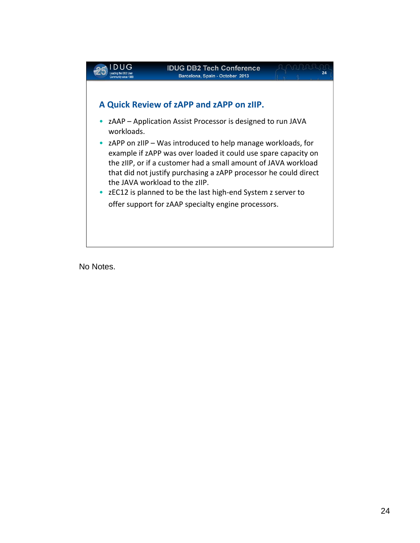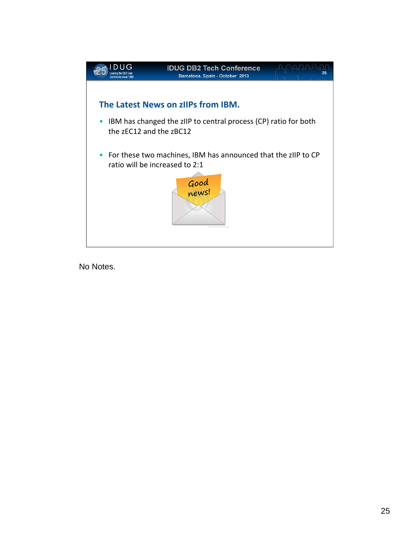